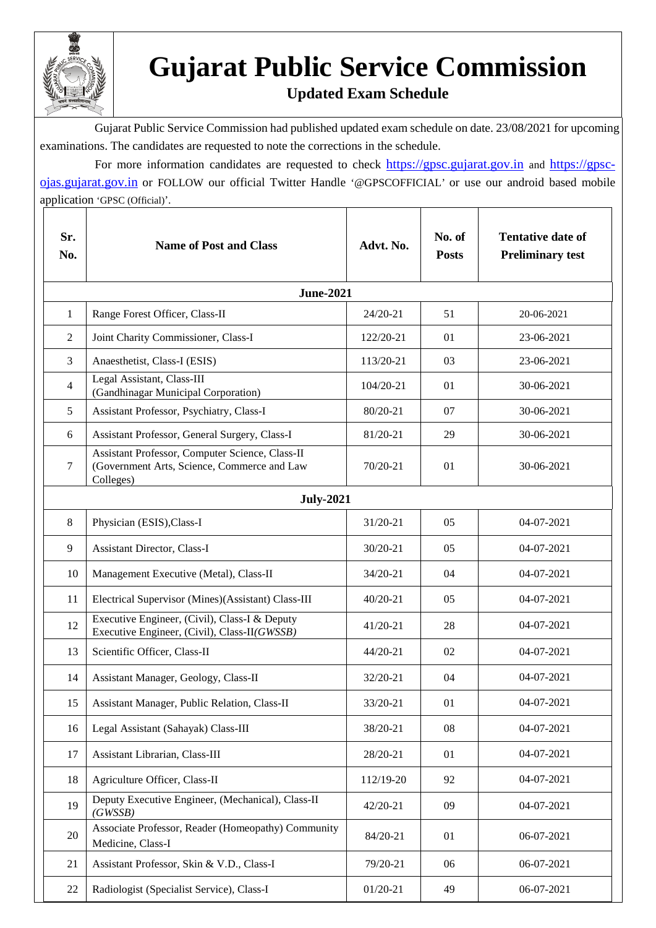

## **Gujarat Public Service Commission**

## **Updated Exam Schedule**

 Gujarat Public Service Commission had published updated exam schedule on date. 23/08/2021 for upcoming examinations. The candidates are requested to note the corrections in the schedule.

For more information candidates are requested to check [https://gpsc.gujarat.gov.in](https://gpsc.gujarat.gov.in/) and [https://gpsc](https://gpsc-ojas.gujarat.gov.in/)[ojas.gujarat.gov.in](https://gpsc-ojas.gujarat.gov.in/) or FOLLOW our official Twitter Handle '@GPSCOFFICIAL' or use our android based mobile application 'GPSC (Official)'.

| Sr.<br>No.     | <b>Name of Post and Class</b>                                                                               | Advt. No.    | No. of<br><b>Posts</b> | <b>Tentative date of</b><br><b>Preliminary test</b> |  |  |  |
|----------------|-------------------------------------------------------------------------------------------------------------|--------------|------------------------|-----------------------------------------------------|--|--|--|
|                | <b>June-2021</b>                                                                                            |              |                        |                                                     |  |  |  |
| 1              | Range Forest Officer, Class-II                                                                              | 24/20-21     | 51                     | 20-06-2021                                          |  |  |  |
| $\overline{2}$ | Joint Charity Commissioner, Class-I                                                                         | 122/20-21    | 01                     | 23-06-2021                                          |  |  |  |
| $\overline{3}$ | Anaesthetist, Class-I (ESIS)                                                                                | 113/20-21    | 03                     | 23-06-2021                                          |  |  |  |
| $\overline{4}$ | Legal Assistant, Class-III<br>(Gandhinagar Municipal Corporation)                                           | 104/20-21    | 01                     | 30-06-2021                                          |  |  |  |
| 5              | Assistant Professor, Psychiatry, Class-I                                                                    | 80/20-21     | 07                     | 30-06-2021                                          |  |  |  |
| 6              | Assistant Professor, General Surgery, Class-I                                                               | 81/20-21     | 29                     | 30-06-2021                                          |  |  |  |
| $\tau$         | Assistant Professor, Computer Science, Class-II<br>(Government Arts, Science, Commerce and Law<br>Colleges) | 70/20-21     | 01                     | 30-06-2021                                          |  |  |  |
|                | <b>July-2021</b>                                                                                            |              |                        |                                                     |  |  |  |
| 8              | Physician (ESIS), Class-I                                                                                   | 31/20-21     | 05                     | 04-07-2021                                          |  |  |  |
| 9              | <b>Assistant Director, Class-I</b>                                                                          | $30/20 - 21$ | 0 <sub>5</sub>         | $04-07-2021$                                        |  |  |  |
| 10             | Management Executive (Metal), Class-II                                                                      | 34/20-21     | 04                     | 04-07-2021                                          |  |  |  |
| 11             | Electrical Supervisor (Mines)(Assistant) Class-III                                                          | $40/20 - 21$ | 0 <sub>5</sub>         | 04-07-2021                                          |  |  |  |
| 12             | Executive Engineer, (Civil), Class-I & Deputy<br>Executive Engineer, (Civil), Class-II(GWSSB)               | $41/20 - 21$ | 28                     | $04-07-2021$                                        |  |  |  |
| 13             | Scientific Officer, Class-II                                                                                | $44/20 - 21$ | 02                     | 04-07-2021                                          |  |  |  |
| 14             | Assistant Manager, Geology, Class-II                                                                        | 32/20-21     | 04                     | 04-07-2021                                          |  |  |  |
| 15             | Assistant Manager, Public Relation, Class-II                                                                | 33/20-21     | 01                     | 04-07-2021                                          |  |  |  |
| 16             | Legal Assistant (Sahayak) Class-III                                                                         | 38/20-21     | 08                     | 04-07-2021                                          |  |  |  |
| 17             | Assistant Librarian, Class-III                                                                              | 28/20-21     | 01                     | 04-07-2021                                          |  |  |  |
| 18             | Agriculture Officer, Class-II                                                                               | 112/19-20    | 92                     | 04-07-2021                                          |  |  |  |
| 19             | Deputy Executive Engineer, (Mechanical), Class-II<br>(GWSSB)                                                | 42/20-21     | 09                     | 04-07-2021                                          |  |  |  |
| $20\,$         | Associate Professor, Reader (Homeopathy) Community<br>Medicine, Class-I                                     | 84/20-21     | 01                     | 06-07-2021                                          |  |  |  |
| 21             | Assistant Professor, Skin & V.D., Class-I                                                                   | 79/20-21     | 06                     | 06-07-2021                                          |  |  |  |
| 22             | Radiologist (Specialist Service), Class-I                                                                   | $01/20 - 21$ | 49                     | 06-07-2021                                          |  |  |  |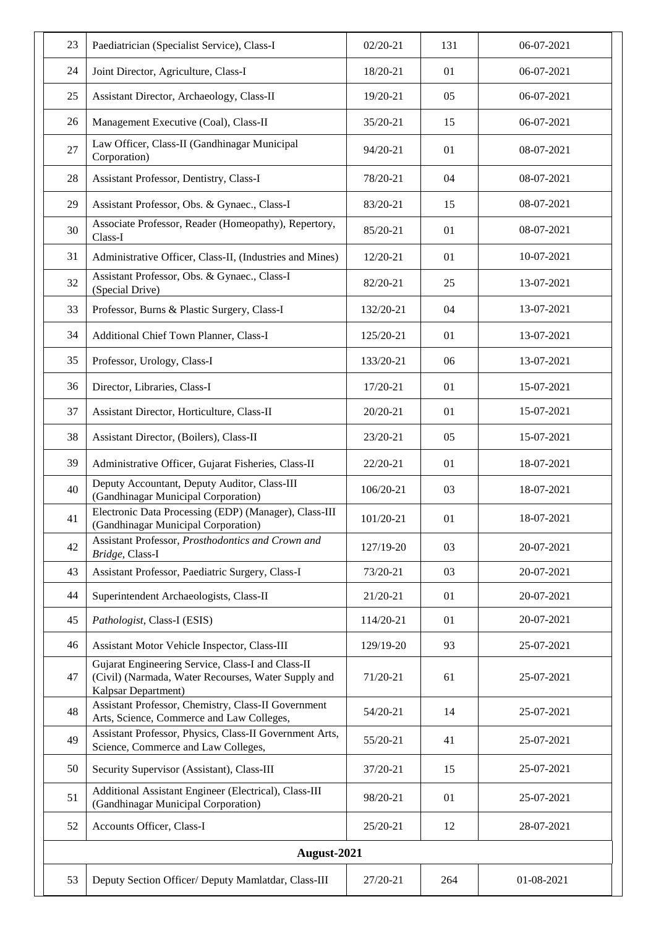| 23          | Paediatrician (Specialist Service), Class-I                                                                                     | $02/20-21$ | 131 | 06-07-2021 |
|-------------|---------------------------------------------------------------------------------------------------------------------------------|------------|-----|------------|
| 24          | Joint Director, Agriculture, Class-I                                                                                            | 18/20-21   | 01  | 06-07-2021 |
| 25          | Assistant Director, Archaeology, Class-II                                                                                       | 19/20-21   | 05  | 06-07-2021 |
| 26          | Management Executive (Coal), Class-II                                                                                           | 35/20-21   | 15  | 06-07-2021 |
| 27          | Law Officer, Class-II (Gandhinagar Municipal<br>Corporation)                                                                    | 94/20-21   | 01  | 08-07-2021 |
| 28          | Assistant Professor, Dentistry, Class-I                                                                                         | 78/20-21   | 04  | 08-07-2021 |
| 29          | Assistant Professor, Obs. & Gynaec., Class-I                                                                                    | 83/20-21   | 15  | 08-07-2021 |
| 30          | Associate Professor, Reader (Homeopathy), Repertory,<br>Class-I                                                                 | 85/20-21   | 01  | 08-07-2021 |
| 31          | Administrative Officer, Class-II, (Industries and Mines)                                                                        | 12/20-21   | 01  | 10-07-2021 |
| 32          | Assistant Professor, Obs. & Gynaec., Class-I<br>(Special Drive)                                                                 | 82/20-21   | 25  | 13-07-2021 |
| 33          | Professor, Burns & Plastic Surgery, Class-I                                                                                     | 132/20-21  | 04  | 13-07-2021 |
| 34          | Additional Chief Town Planner, Class-I                                                                                          | 125/20-21  | 01  | 13-07-2021 |
| 35          | Professor, Urology, Class-I                                                                                                     | 133/20-21  | 06  | 13-07-2021 |
| 36          | Director, Libraries, Class-I                                                                                                    | 17/20-21   | 01  | 15-07-2021 |
| 37          | Assistant Director, Horticulture, Class-II                                                                                      | 20/20-21   | 01  | 15-07-2021 |
| 38          | Assistant Director, (Boilers), Class-II                                                                                         | 23/20-21   | 05  | 15-07-2021 |
| 39          | Administrative Officer, Gujarat Fisheries, Class-II                                                                             | 22/20-21   | 01  | 18-07-2021 |
| 40          | Deputy Accountant, Deputy Auditor, Class-III<br>(Gandhinagar Municipal Corporation)                                             | 106/20-21  | 03  | 18-07-2021 |
| 41          | Electronic Data Processing (EDP) (Manager), Class-III<br>(Gandhinagar Municipal Corporation)                                    | 101/20-21  | 01  | 18-07-2021 |
| 42          | Assistant Professor, Prosthodontics and Crown and<br>Bridge, Class-I                                                            | 127/19-20  | 03  | 20-07-2021 |
| 43          | Assistant Professor, Paediatric Surgery, Class-I                                                                                | 73/20-21   | 03  | 20-07-2021 |
| 44          | Superintendent Archaeologists, Class-II                                                                                         | 21/20-21   | 01  | 20-07-2021 |
| 45          | Pathologist, Class-I (ESIS)                                                                                                     | 114/20-21  | 01  | 20-07-2021 |
| 46          | Assistant Motor Vehicle Inspector, Class-III                                                                                    | 129/19-20  | 93  | 25-07-2021 |
| 47          | Gujarat Engineering Service, Class-I and Class-II<br>(Civil) (Narmada, Water Recourses, Water Supply and<br>Kalpsar Department) | 71/20-21   | 61  | 25-07-2021 |
| 48          | Assistant Professor, Chemistry, Class-II Government<br>Arts, Science, Commerce and Law Colleges,                                | 54/20-21   | 14  | 25-07-2021 |
| 49          | Assistant Professor, Physics, Class-II Government Arts,<br>Science, Commerce and Law Colleges,                                  | 55/20-21   | 41  | 25-07-2021 |
| 50          | Security Supervisor (Assistant), Class-III                                                                                      | 37/20-21   | 15  | 25-07-2021 |
| 51          | Additional Assistant Engineer (Electrical), Class-III<br>(Gandhinagar Municipal Corporation)                                    | 98/20-21   | 01  | 25-07-2021 |
| 52          | Accounts Officer, Class-I                                                                                                       | 25/20-21   | 12  | 28-07-2021 |
| August-2021 |                                                                                                                                 |            |     |            |
| 53          | Deputy Section Officer/ Deputy Mamlatdar, Class-III                                                                             | 27/20-21   | 264 | 01-08-2021 |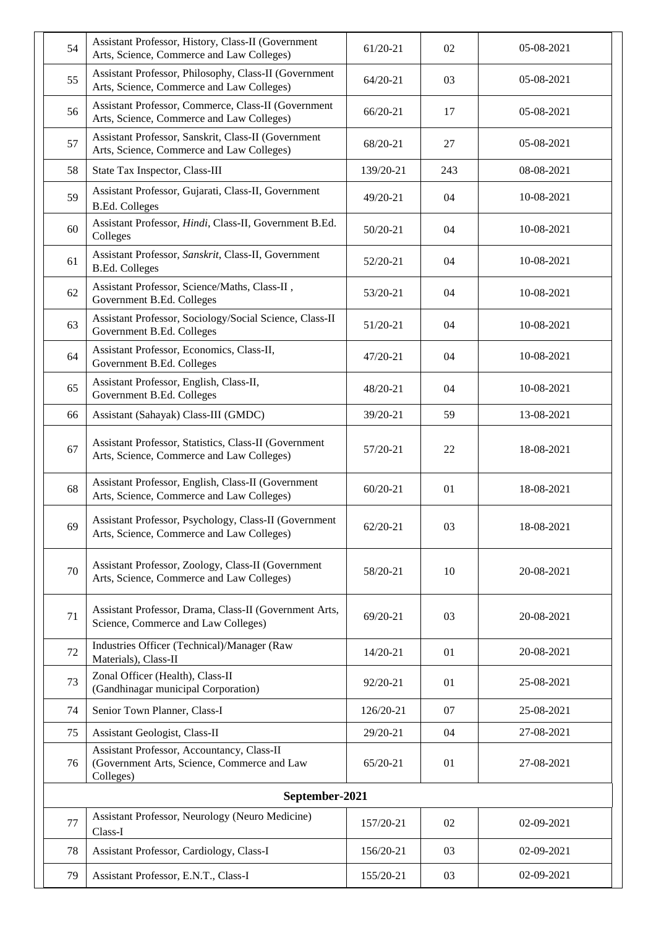| 54             | Assistant Professor, History, Class-II (Government<br>Arts, Science, Commerce and Law Colleges)        | $61/20-21$   | 02  | 05-08-2021 |  |
|----------------|--------------------------------------------------------------------------------------------------------|--------------|-----|------------|--|
| 55             | Assistant Professor, Philosophy, Class-II (Government<br>Arts, Science, Commerce and Law Colleges)     | $64/20-21$   | 03  | 05-08-2021 |  |
| 56             | Assistant Professor, Commerce, Class-II (Government<br>Arts, Science, Commerce and Law Colleges)       | 66/20-21     | 17  | 05-08-2021 |  |
| 57             | Assistant Professor, Sanskrit, Class-II (Government<br>Arts, Science, Commerce and Law Colleges)       | 68/20-21     | 27  | 05-08-2021 |  |
| 58             | State Tax Inspector, Class-III                                                                         | 139/20-21    | 243 | 08-08-2021 |  |
| 59             | Assistant Professor, Gujarati, Class-II, Government<br><b>B.Ed. Colleges</b>                           | 49/20-21     | 04  | 10-08-2021 |  |
| 60             | Assistant Professor, Hindi, Class-II, Government B.Ed.<br>Colleges                                     | 50/20-21     | 04  | 10-08-2021 |  |
| 61             | Assistant Professor, Sanskrit, Class-II, Government<br><b>B.Ed. Colleges</b>                           | 52/20-21     | 04  | 10-08-2021 |  |
| 62             | Assistant Professor, Science/Maths, Class-II,<br>Government B.Ed. Colleges                             | 53/20-21     | 04  | 10-08-2021 |  |
| 63             | Assistant Professor, Sociology/Social Science, Class-II<br>Government B.Ed. Colleges                   | $51/20-21$   | 04  | 10-08-2021 |  |
| 64             | Assistant Professor, Economics, Class-II,<br>Government B.Ed. Colleges                                 | 47/20-21     | 04  | 10-08-2021 |  |
| 65             | Assistant Professor, English, Class-II,<br>Government B.Ed. Colleges                                   | 48/20-21     | 04  | 10-08-2021 |  |
| 66             | Assistant (Sahayak) Class-III (GMDC)                                                                   | 39/20-21     | 59  | 13-08-2021 |  |
| 67             | Assistant Professor, Statistics, Class-II (Government<br>Arts, Science, Commerce and Law Colleges)     | 57/20-21     | 22  | 18-08-2021 |  |
| 68             | Assistant Professor, English, Class-II (Government<br>Arts, Science, Commerce and Law Colleges)        | $60/20 - 21$ | 01  | 18-08-2021 |  |
| 69             | Assistant Professor, Psychology, Class-II (Government<br>Arts, Science, Commerce and Law Colleges)     | 62/20-21     | 03  | 18-08-2021 |  |
| 70             | Assistant Professor, Zoology, Class-II (Government<br>Arts, Science, Commerce and Law Colleges)        | 58/20-21     | 10  | 20-08-2021 |  |
| 71             | Assistant Professor, Drama, Class-II (Government Arts,<br>Science, Commerce and Law Colleges)          | 69/20-21     | 03  | 20-08-2021 |  |
| 72             | Industries Officer (Technical)/Manager (Raw<br>Materials), Class-II                                    | 14/20-21     | 01  | 20-08-2021 |  |
| 73             | Zonal Officer (Health), Class-II<br>(Gandhinagar municipal Corporation)                                | 92/20-21     | 01  | 25-08-2021 |  |
| 74             | Senior Town Planner, Class-I                                                                           | 126/20-21    | 07  | 25-08-2021 |  |
| 75             | Assistant Geologist, Class-II                                                                          | 29/20-21     | 04  | 27-08-2021 |  |
| 76             | Assistant Professor, Accountancy, Class-II<br>(Government Arts, Science, Commerce and Law<br>Colleges) | $65/20-21$   | 01  | 27-08-2021 |  |
| September-2021 |                                                                                                        |              |     |            |  |
| 77             | Assistant Professor, Neurology (Neuro Medicine)<br>Class-I                                             | 157/20-21    | 02  | 02-09-2021 |  |
| 78             | Assistant Professor, Cardiology, Class-I                                                               | 156/20-21    | 03  | 02-09-2021 |  |
| 79             | Assistant Professor, E.N.T., Class-I                                                                   | 155/20-21    | 03  | 02-09-2021 |  |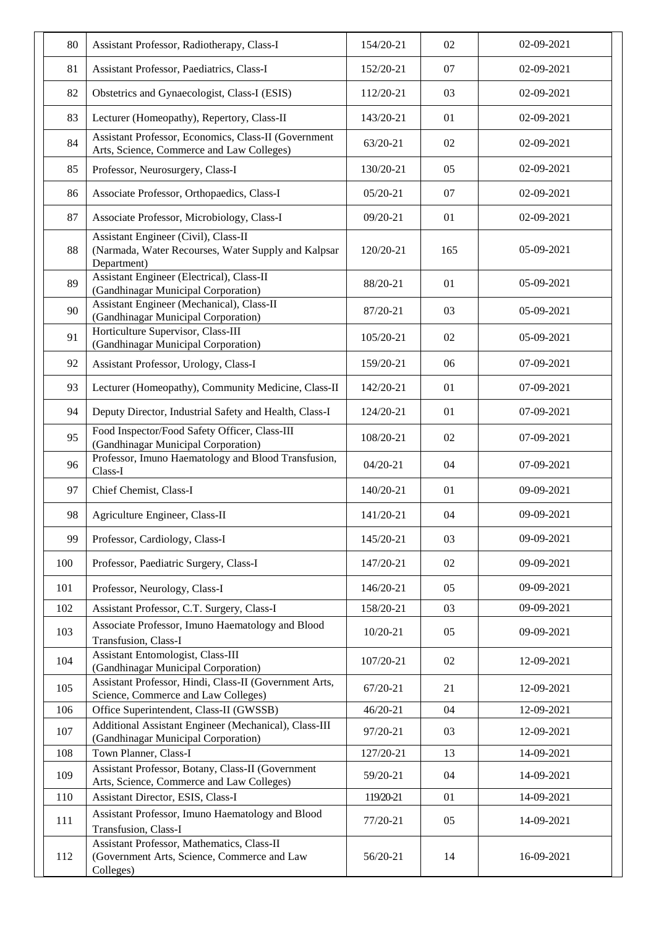| 80  | Assistant Professor, Radiotherapy, Class-I                                                                 | 154/20-21    | 02  | 02-09-2021 |
|-----|------------------------------------------------------------------------------------------------------------|--------------|-----|------------|
| 81  | Assistant Professor, Paediatrics, Class-I                                                                  | 152/20-21    | 07  | 02-09-2021 |
| 82  | Obstetrics and Gynaecologist, Class-I (ESIS)                                                               | 112/20-21    | 03  | 02-09-2021 |
| 83  | Lecturer (Homeopathy), Repertory, Class-II                                                                 | 143/20-21    | 01  | 02-09-2021 |
| 84  | Assistant Professor, Economics, Class-II (Government<br>Arts, Science, Commerce and Law Colleges)          | 63/20-21     | 02  | 02-09-2021 |
| 85  | Professor, Neurosurgery, Class-I                                                                           | 130/20-21    | 05  | 02-09-2021 |
| 86  | Associate Professor, Orthopaedics, Class-I                                                                 | $05/20-21$   | 07  | 02-09-2021 |
| 87  | Associate Professor, Microbiology, Class-I                                                                 | 09/20-21     | 01  | 02-09-2021 |
| 88  | Assistant Engineer (Civil), Class-II<br>(Narmada, Water Recourses, Water Supply and Kalpsar<br>Department) | 120/20-21    | 165 | 05-09-2021 |
| 89  | Assistant Engineer (Electrical), Class-II<br>(Gandhinagar Municipal Corporation)                           | 88/20-21     | 01  | 05-09-2021 |
| 90  | Assistant Engineer (Mechanical), Class-II<br>(Gandhinagar Municipal Corporation)                           | 87/20-21     | 03  | 05-09-2021 |
| 91  | Horticulture Supervisor, Class-III<br>(Gandhinagar Municipal Corporation)                                  | 105/20-21    | 02  | 05-09-2021 |
| 92  | Assistant Professor, Urology, Class-I                                                                      | 159/20-21    | 06  | 07-09-2021 |
| 93  | Lecturer (Homeopathy), Community Medicine, Class-II                                                        | 142/20-21    | 01  | 07-09-2021 |
| 94  | Deputy Director, Industrial Safety and Health, Class-I                                                     | 124/20-21    | 01  | 07-09-2021 |
| 95  | Food Inspector/Food Safety Officer, Class-III<br>(Gandhinagar Municipal Corporation)                       | 108/20-21    | 02  | 07-09-2021 |
| 96  | Professor, Imuno Haematology and Blood Transfusion,<br>Class-I                                             | $04/20 - 21$ | 04  | 07-09-2021 |
| 97  | Chief Chemist, Class-I                                                                                     | 140/20-21    | 01  | 09-09-2021 |
| 98  | Agriculture Engineer, Class-II                                                                             | 141/20-21    | 04  | 09-09-2021 |
| 99  | Professor, Cardiology, Class-I                                                                             | 145/20-21    | 03  | 09-09-2021 |
| 100 | Professor, Paediatric Surgery, Class-I                                                                     | 147/20-21    | 02  | 09-09-2021 |
| 101 | Professor, Neurology, Class-I                                                                              | 146/20-21    | 05  | 09-09-2021 |
| 102 | Assistant Professor, C.T. Surgery, Class-I                                                                 | 158/20-21    | 03  | 09-09-2021 |
| 103 | Associate Professor, Imuno Haematology and Blood<br>Transfusion, Class-I                                   | 10/20-21     | 05  | 09-09-2021 |
| 104 | <b>Assistant Entomologist, Class-III</b><br>(Gandhinagar Municipal Corporation)                            | 107/20-21    | 02  | 12-09-2021 |
| 105 | Assistant Professor, Hindi, Class-II (Government Arts,<br>Science, Commerce and Law Colleges)              | 67/20-21     | 21  | 12-09-2021 |
| 106 | Office Superintendent, Class-II (GWSSB)                                                                    | 46/20-21     | 04  | 12-09-2021 |
| 107 | Additional Assistant Engineer (Mechanical), Class-III<br>(Gandhinagar Municipal Corporation)               | 97/20-21     | 03  | 12-09-2021 |
| 108 | Town Planner, Class-I                                                                                      | 127/20-21    | 13  | 14-09-2021 |
| 109 | Assistant Professor, Botany, Class-II (Government<br>Arts, Science, Commerce and Law Colleges)             | 59/20-21     | 04  | 14-09-2021 |
| 110 | Assistant Director, ESIS, Class-I                                                                          | 119/20-21    | 01  | 14-09-2021 |
| 111 | Assistant Professor, Imuno Haematology and Blood<br>Transfusion, Class-I                                   | 77/20-21     | 05  | 14-09-2021 |
| 112 | Assistant Professor, Mathematics, Class-II<br>(Government Arts, Science, Commerce and Law<br>Colleges)     | 56/20-21     | 14  | 16-09-2021 |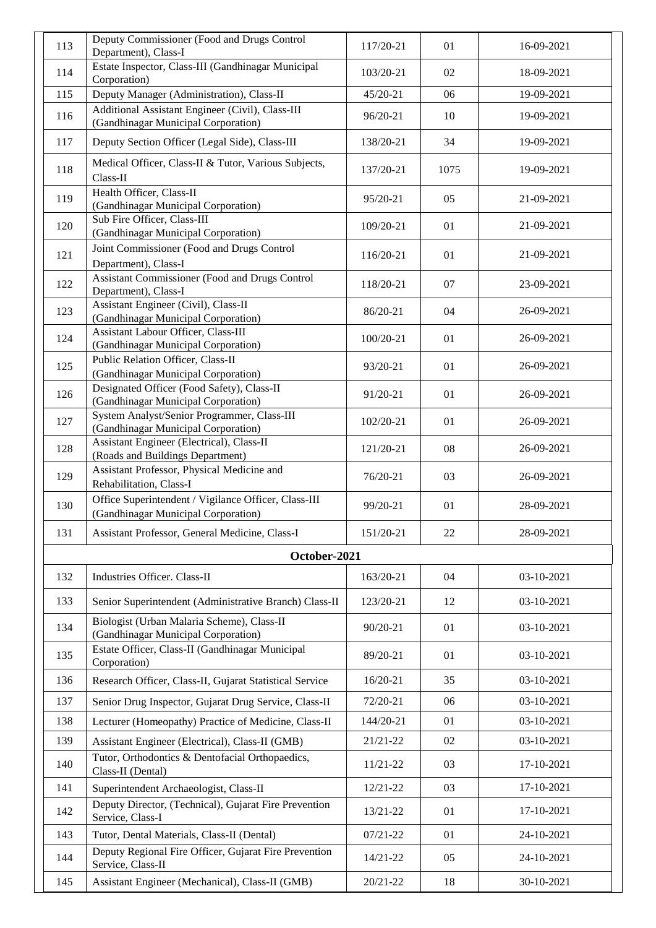| 113 | Deputy Commissioner (Food and Drugs Control<br>Department), Class-I                         | 117/20-21    | 01   | 16-09-2021 |
|-----|---------------------------------------------------------------------------------------------|--------------|------|------------|
| 114 | Estate Inspector, Class-III (Gandhinagar Municipal<br>Corporation)                          | 103/20-21    | 02   | 18-09-2021 |
| 115 | Deputy Manager (Administration), Class-II                                                   | 45/20-21     | 06   | 19-09-2021 |
| 116 | Additional Assistant Engineer (Civil), Class-III<br>(Gandhinagar Municipal Corporation)     | 96/20-21     | 10   | 19-09-2021 |
| 117 | Deputy Section Officer (Legal Side), Class-III                                              | 138/20-21    | 34   | 19-09-2021 |
| 118 | Medical Officer, Class-II & Tutor, Various Subjects,<br>Class-II                            | 137/20-21    | 1075 | 19-09-2021 |
| 119 | Health Officer, Class-II<br>(Gandhinagar Municipal Corporation)                             | 95/20-21     | 05   | 21-09-2021 |
| 120 | Sub Fire Officer, Class-III<br>(Gandhinagar Municipal Corporation)                          | 109/20-21    | 01   | 21-09-2021 |
| 121 | Joint Commissioner (Food and Drugs Control<br>Department), Class-I                          | 116/20-21    | 01   | 21-09-2021 |
| 122 | Assistant Commissioner (Food and Drugs Control<br>Department), Class-I                      | 118/20-21    | 07   | 23-09-2021 |
| 123 | Assistant Engineer (Civil), Class-II<br>(Gandhinagar Municipal Corporation)                 | 86/20-21     | 04   | 26-09-2021 |
| 124 | Assistant Labour Officer, Class-III<br>(Gandhinagar Municipal Corporation)                  | 100/20-21    | 01   | 26-09-2021 |
| 125 | Public Relation Officer, Class-II<br>(Gandhinagar Municipal Corporation)                    | 93/20-21     | 01   | 26-09-2021 |
| 126 | Designated Officer (Food Safety), Class-II<br>(Gandhinagar Municipal Corporation)           | 91/20-21     | 01   | 26-09-2021 |
| 127 | System Analyst/Senior Programmer, Class-III<br>(Gandhinagar Municipal Corporation)          | 102/20-21    | 01   | 26-09-2021 |
| 128 | Assistant Engineer (Electrical), Class-II<br>(Roads and Buildings Department)               | 121/20-21    | 08   | 26-09-2021 |
| 129 | Assistant Professor, Physical Medicine and<br>Rehabilitation, Class-I                       | 76/20-21     | 03   | 26-09-2021 |
| 130 | Office Superintendent / Vigilance Officer, Class-III<br>(Gandhinagar Municipal Corporation) | 99/20-21     | 01   | 28-09-2021 |
| 131 | Assistant Professor, General Medicine, Class-I                                              | 151/20-21    | 22   | 28-09-2021 |
|     | October-2021                                                                                |              |      |            |
| 132 | Industries Officer. Class-II                                                                | 163/20-21    | 04   | 03-10-2021 |
| 133 | Senior Superintendent (Administrative Branch) Class-II                                      | 123/20-21    | 12   | 03-10-2021 |
| 134 | Biologist (Urban Malaria Scheme), Class-II<br>(Gandhinagar Municipal Corporation)           | 90/20-21     | 01   | 03-10-2021 |
| 135 | Estate Officer, Class-II (Gandhinagar Municipal<br>Corporation)                             | 89/20-21     | 01   | 03-10-2021 |
| 136 | Research Officer, Class-II, Gujarat Statistical Service                                     | 16/20-21     | 35   | 03-10-2021 |
| 137 | Senior Drug Inspector, Gujarat Drug Service, Class-II                                       | 72/20-21     | 06   | 03-10-2021 |
| 138 | Lecturer (Homeopathy) Practice of Medicine, Class-II                                        | 144/20-21    | 01   | 03-10-2021 |
| 139 | Assistant Engineer (Electrical), Class-II (GMB)                                             | $21/21 - 22$ | 02   | 03-10-2021 |
| 140 | Tutor, Orthodontics & Dentofacial Orthopaedics,<br>Class-II (Dental)                        | $11/21 - 22$ | 03   | 17-10-2021 |
| 141 | Superintendent Archaeologist, Class-II                                                      | $12/21 - 22$ | 03   | 17-10-2021 |
| 142 | Deputy Director, (Technical), Gujarat Fire Prevention<br>Service, Class-I                   | 13/21-22     | 01   | 17-10-2021 |
| 143 | Tutor, Dental Materials, Class-II (Dental)                                                  | $07/21 - 22$ | 01   | 24-10-2021 |
| 144 | Deputy Regional Fire Officer, Gujarat Fire Prevention<br>Service, Class-II                  | $14/21 - 22$ | 05   | 24-10-2021 |
| 145 | Assistant Engineer (Mechanical), Class-II (GMB)                                             | $20/21 - 22$ | 18   | 30-10-2021 |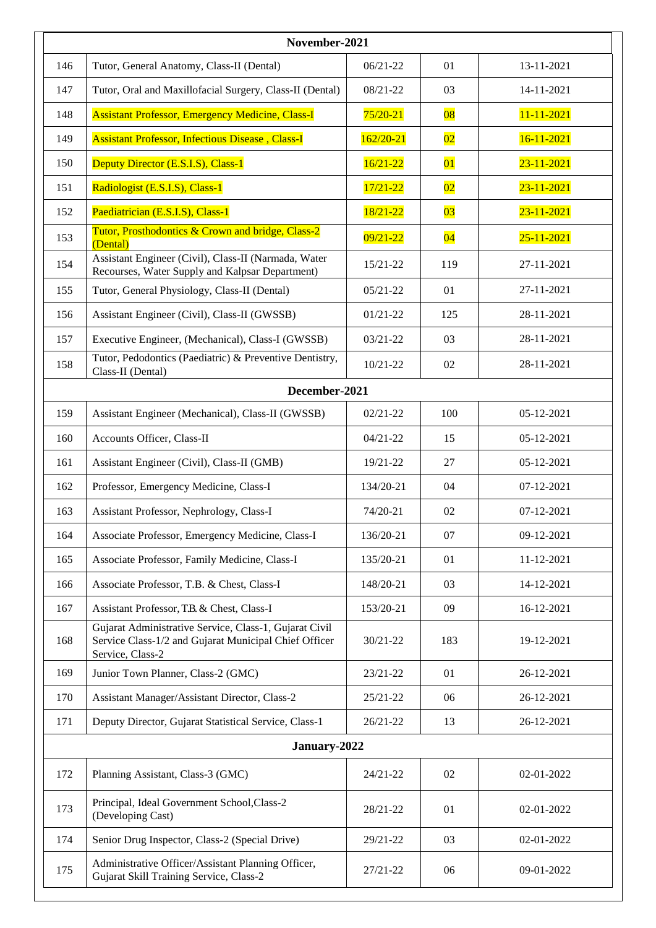| November-2021 |                                                                                                                                     |              |                 |                  |
|---------------|-------------------------------------------------------------------------------------------------------------------------------------|--------------|-----------------|------------------|
| 146           | Tutor, General Anatomy, Class-II (Dental)                                                                                           | $06/21 - 22$ | 01              | 13-11-2021       |
| 147           | Tutor, Oral and Maxillofacial Surgery, Class-II (Dental)                                                                            | $08/21 - 22$ | 03              | 14-11-2021       |
| 148           | <b>Assistant Professor, Emergency Medicine, Class-I</b>                                                                             | $75/20 - 21$ | $\overline{08}$ | $11 - 11 - 2021$ |
| 149           | <b>Assistant Professor, Infectious Disease, Class-I</b>                                                                             | $162/20-21$  | $\overline{02}$ | $16 - 11 - 2021$ |
| 150           | Deputy Director (E.S.I.S), Class-1                                                                                                  | $16/21 - 22$ | 01              | $23 - 11 - 2021$ |
| 151           | Radiologist (E.S.I.S), Class-1                                                                                                      | $17/21 - 22$ | $\overline{02}$ | $23 - 11 - 2021$ |
| 152           | Paediatrician (E.S.I.S), Class-1                                                                                                    | 18/21-22     | $\overline{03}$ | $23 - 11 - 2021$ |
| 153           | Tutor, Prosthodontics & Crown and bridge, Class-2<br>(Dental)                                                                       | $09/21 - 22$ | 04              | $25 - 11 - 2021$ |
| 154           | Assistant Engineer (Civil), Class-II (Narmada, Water<br>Recourses, Water Supply and Kalpsar Department)                             | $15/21 - 22$ | 119             | 27-11-2021       |
| 155           | Tutor, General Physiology, Class-II (Dental)                                                                                        | $05/21 - 22$ | 01              | 27-11-2021       |
| 156           | Assistant Engineer (Civil), Class-II (GWSSB)                                                                                        | $01/21 - 22$ | 125             | 28-11-2021       |
| 157           | Executive Engineer, (Mechanical), Class-I (GWSSB)                                                                                   | $03/21 - 22$ | 03              | 28-11-2021       |
| 158           | Tutor, Pedodontics (Paediatric) & Preventive Dentistry,<br>Class-II (Dental)                                                        | $10/21 - 22$ | 02              | 28-11-2021       |
|               | December-2021                                                                                                                       |              |                 |                  |
| 159           | Assistant Engineer (Mechanical), Class-II (GWSSB)                                                                                   | $02/21 - 22$ | 100             | 05-12-2021       |
| 160           | Accounts Officer, Class-II                                                                                                          | $04/21 - 22$ | 15              | 05-12-2021       |
| 161           | Assistant Engineer (Civil), Class-II (GMB)                                                                                          | 19/21-22     | 27              | 05-12-2021       |
| 162           | Professor, Emergency Medicine, Class-I                                                                                              | 134/20-21    | 04              | 07-12-2021       |
| 163           | Assistant Professor, Nephrology, Class-I                                                                                            | 74/20-21     | 02              | 07-12-2021       |
| 164           | Associate Professor, Emergency Medicine, Class-I                                                                                    | 136/20-21    | 07              | 09-12-2021       |
| 165           | Associate Professor, Family Medicine, Class-I                                                                                       | 135/20-21    | 01              | 11-12-2021       |
| 166           | Associate Professor, T.B. & Chest, Class-I                                                                                          | 148/20-21    | 03              | 14-12-2021       |
| 167           | Assistant Professor, T.B. & Chest, Class-I                                                                                          | 153/20-21    | 09              | 16-12-2021       |
| 168           | Gujarat Administrative Service, Class-1, Gujarat Civil<br>Service Class-1/2 and Gujarat Municipal Chief Officer<br>Service, Class-2 | $30/21 - 22$ | 183             | 19-12-2021       |
| 169           | Junior Town Planner, Class-2 (GMC)                                                                                                  | 23/21-22     | 01              | 26-12-2021       |
| 170           | Assistant Manager/Assistant Director, Class-2                                                                                       | $25/21 - 22$ | 06              | 26-12-2021       |
| 171           | Deputy Director, Gujarat Statistical Service, Class-1                                                                               | $26/21 - 22$ | 13              | 26-12-2021       |
|               | January-2022                                                                                                                        |              |                 |                  |
| 172           | Planning Assistant, Class-3 (GMC)                                                                                                   | $24/21 - 22$ | 02              | 02-01-2022       |
| 173           | Principal, Ideal Government School, Class-2<br>(Developing Cast)                                                                    | 28/21-22     | 01              | 02-01-2022       |
| 174           | Senior Drug Inspector, Class-2 (Special Drive)                                                                                      | 29/21-22     | 03              | 02-01-2022       |
| 175           | Administrative Officer/Assistant Planning Officer,<br>Gujarat Skill Training Service, Class-2                                       | $27/21 - 22$ | 06              | 09-01-2022       |